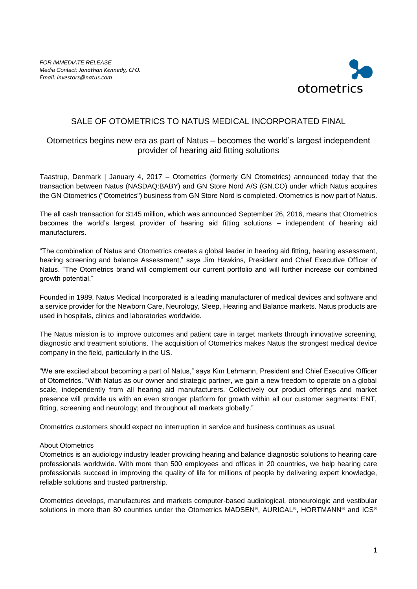

## SALE OF OTOMETRICS TO NATUS MEDICAL INCORPORATED FINAL

## Otometrics begins new era as part of Natus – becomes the world's largest independent provider of hearing aid fitting solutions

Taastrup, Denmark | January 4, 2017 – Otometrics (formerly GN Otometrics) announced today that the transaction between Natus (NASDAQ:BABY) and GN Store Nord A/S (GN.CO) under which Natus acquires the GN Otometrics ("Otometrics") business from GN Store Nord is completed. Otometrics is now part of Natus.

The all cash transaction for \$145 million, which was announced September 26, 2016, means that Otometrics becomes the world's largest provider of hearing aid fitting solutions – independent of hearing aid manufacturers.

"The combination of Natus and Otometrics creates a global leader in hearing aid fitting, hearing assessment, hearing screening and balance Assessment," says Jim Hawkins, President and Chief Executive Officer of Natus. "The Otometrics brand will complement our current portfolio and will further increase our combined growth potential."

Founded in 1989, Natus Medical Incorporated is a leading manufacturer of medical devices and software and a service provider for the Newborn Care, Neurology, Sleep, Hearing and Balance markets. Natus products are used in hospitals, clinics and laboratories worldwide.

The Natus mission is to improve outcomes and patient care in target markets through innovative screening, diagnostic and treatment solutions. The acquisition of Otometrics makes Natus the strongest medical device company in the field, particularly in the US.

"We are excited about becoming a part of Natus," says Kim Lehmann, President and Chief Executive Officer of Otometrics. "With Natus as our owner and strategic partner, we gain a new freedom to operate on a global scale, independently from all hearing aid manufacturers. Collectively our product offerings and market presence will provide us with an even stronger platform for growth within all our customer segments: ENT, fitting, screening and neurology; and throughout all markets globally."

Otometrics customers should expect no interruption in service and business continues as usual.

## About Otometrics

Otometrics is an audiology industry leader providing hearing and balance diagnostic solutions to hearing care professionals worldwide. With more than 500 employees and offices in 20 countries, we help hearing care professionals succeed in improving the quality of life for millions of people by delivering expert knowledge, reliable solutions and trusted partnership.

Otometrics develops, manufactures and markets computer-based audiological, otoneurologic and vestibular solutions in more than 80 countries under the Otometrics MADSEN®, AURICAL®, HORTMANN® and ICS®